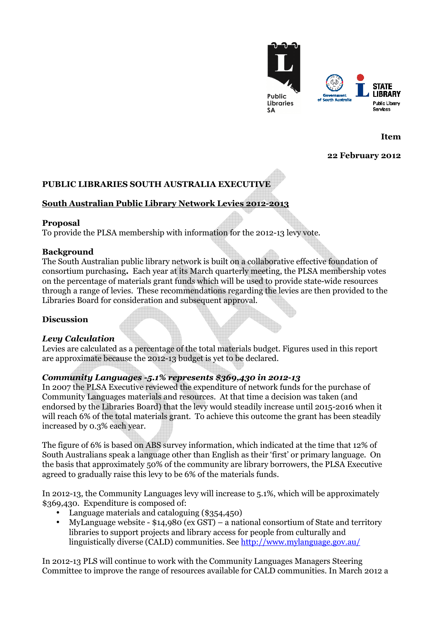

**Item**

#### **22 February 2012**

# **PUBLIC LIBRARIES SOUTH AUSTRALIA EXECUTIVE**

## **South Australian Public Library Network Levies 2012-2013**

#### **Proposal**

To provide the PLSA membership with information for the 2012-13 levy vote.

#### **Background**

The South Australian public library network is built on a collaborative effective foundation of consortium purchasing**.** Each year at its March quarterly meeting, the PLSA membership votes on the percentage of materials grant funds which will be used to provide state-wide resources through a range of levies. These recommendations regarding the levies are then provided to the Libraries Board for consideration and subsequent approval.

## **Discussion**

## *Levy Calculation*

Levies are calculated as a percentage of the total materials budget. Figures used in this report are approximate because the 2012-13 budget is yet to be declared.

## *Community Languages -5.1% represents \$369,430 in 2012-13*

In 2007 the PLSA Executive reviewed the expenditure of network funds for the purchase of Community Languages materials and resources. At that time a decision was taken (and endorsed by the Libraries Board) that the levy would steadily increase until 2015-2016 when it will reach 6% of the total materials grant. To achieve this outcome the grant has been steadily increased by 0.3% each year.

The figure of 6% is based on ABS survey information, which indicated at the time that 12% of South Australians speak a language other than English as their 'first' or primary language. On the basis that approximately 50% of the community are library borrowers, the PLSA Executive agreed to gradually raise this levy to be 6% of the materials funds.

In 2012-13, the Community Languages levy will increase to 5.1%, which will be approximately \$369,430. Expenditure is composed of:

- Language materials and cataloguing (\$354,450)
- MyLanguage website \$14,980 (ex GST) a national consortium of State and territory libraries to support projects and library access for people from culturally and linguistically diverse (CALD) communities. See http://www.mylanguage.gov.au/

In 2012-13 PLS will continue to work with the Community Languages Managers Steering Committee to improve the range of resources available for CALD communities. In March 2012 a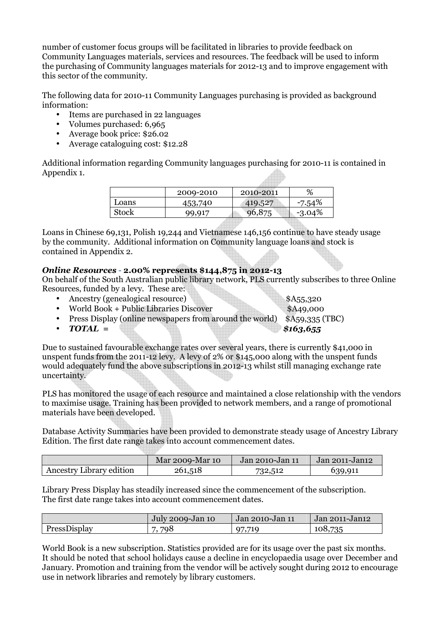number of customer focus groups will be facilitated in libraries to provide feedback on Community Languages materials, services and resources. The feedback will be used to inform the purchasing of Community languages materials for 2012-13 and to improve engagement with this sector of the community.

The following data for 2010-11 Community Languages purchasing is provided as background information:

- Items are purchased in 22 languages
- Volumes purchased: 6,965
- Average book price: \$26.02
- Average cataloguing cost: \$12.28

Additional information regarding Community languages purchasing for 2010-11 is contained in Appendix 1.

|              | 2009-2010 | 2010-2011 | %         |
|--------------|-----------|-----------|-----------|
| Loans        | 453,740   | 419,527   | -7.54%    |
| <b>Stock</b> | 99.917    | 96,875    | $-3.04\%$ |
|              |           |           |           |

Loans in Chinese 69,131, Polish 19,244 and Vietnamese 146,156 continue to have steady usage by the community. Additional information on Community language loans and stock is contained in Appendix 2.

## *Online Resources* - **2.00% represents \$144,875 in 2012-13**

On behalf of the South Australian public library network, PLS currently subscribes to three Online Resources, funded by a levy. These are:

- Ancestry (genealogical resource) \$A55,320
- World Book + Public Libraries Discover \$A49,000
- Press Display (online newspapers from around the world) \$A59,335 (TBC)
- *TOTAL* = \$163,655

Due to sustained favourable exchange rates over several years, there is currently \$41,000 in unspent funds from the 2011-12 levy. A levy of 2% or \$145,000 along with the unspent funds would adequately fund the above subscriptions in 2012-13 whilst still managing exchange rate uncertainty.

PLS has monitored the usage of each resource and maintained a close relationship with the vendors to maximise usage. Training has been provided to network members, and a range of promotional materials have been developed.

Database Activity Summaries have been provided to demonstrate steady usage of Ancestry Library Edition. The first date range takes into account commencement dates.

|                          | Mar 2009-Mar 10 | Jan 2010-Jan 11 | Jan 2011-Jan12 |
|--------------------------|-----------------|-----------------|----------------|
| Ancestry Library edition | 261,518         | 732,512         | 639,911        |

Library Press Display has steadily increased since the commencement of the subscription. The first date range takes into account commencement dates.

|              | July 2009-Jan 10 | Jan 2010-Jan 11 | Jan 2011-Jan12 |  |
|--------------|------------------|-----------------|----------------|--|
| PressDisplay | 798              | 97,719          | 108,735        |  |

World Book is a new subscription. Statistics provided are for its usage over the past six months. It should be noted that school holidays cause a decline in encyclopaedia usage over December and January. Promotion and training from the vendor will be actively sought during 2012 to encourage use in network libraries and remotely by library customers.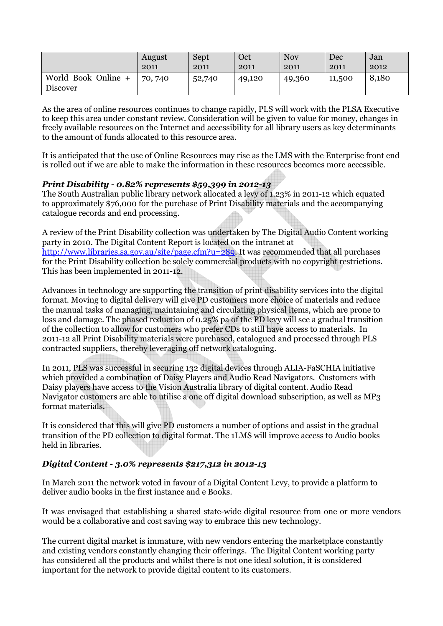|                                        | August  | Sept   | Oct    | <b>Nov</b> | Dec    | Jan   |
|----------------------------------------|---------|--------|--------|------------|--------|-------|
|                                        | 2011    | 2011   | 2011   | 2011       | 2011   | 2012  |
| World Book Online +<br><b>Discover</b> | 70, 740 | 52,740 | 49,120 | 49,360     | 11,500 | 8,180 |

As the area of online resources continues to change rapidly, PLS will work with the PLSA Executive to keep this area under constant review. Consideration will be given to value for money, changes in freely available resources on the Internet and accessibility for all library users as key determinants to the amount of funds allocated to this resource area.

It is anticipated that the use of Online Resources may rise as the LMS with the Enterprise front end is rolled out if we are able to make the information in these resources becomes more accessible.

## *Print Disability - 0.82% represents \$59,399 in 2012-13*

The South Australian public library network allocated a levy of 1.23% in 2011-12 which equated to approximately \$76,000 for the purchase of Print Disability materials and the accompanying catalogue records and end processing.

A review of the Print Disability collection was undertaken by The Digital Audio Content working party in 2010. The Digital Content Report is located on the intranet at http://www.libraries.sa.gov.au/site/page.cfm?u=289. It was recommended that all purchases for the Print Disability collection be solely commercial products with no copyright restrictions. This has been implemented in 2011-12.

Advances in technology are supporting the transition of print disability services into the digital format. Moving to digital delivery will give PD customers more choice of materials and reduce the manual tasks of managing, maintaining and circulating physical items, which are prone to loss and damage. The phased reduction of 0.25% pa of the PD levy will see a gradual transition of the collection to allow for customers who prefer CDs to still have access to materials. In 2011-12 all Print Disability materials were purchased, catalogued and processed through PLS contracted suppliers, thereby leveraging off network cataloguing.

In 2011, PLS was successful in securing 132 digital devices through ALIA-FaSCHIA initiative which provided a combination of Daisy Players and Audio Read Navigators. Customers with Daisy players have access to the Vision Australia library of digital content. Audio Read Navigator customers are able to utilise a one off digital download subscription, as well as MP3 format materials.

It is considered that this will give PD customers a number of options and assist in the gradual transition of the PD collection to digital format. The 1LMS will improve access to Audio books held in libraries.

## *Digital Content - 3.0% represents \$217,312 in 2012-13*

In March 2011 the network voted in favour of a Digital Content Levy, to provide a platform to deliver audio books in the first instance and e Books.

It was envisaged that establishing a shared state-wide digital resource from one or more vendors would be a collaborative and cost saving way to embrace this new technology.

The current digital market is immature, with new vendors entering the marketplace constantly and existing vendors constantly changing their offerings. The Digital Content working party has considered all the products and whilst there is not one ideal solution, it is considered important for the network to provide digital content to its customers.